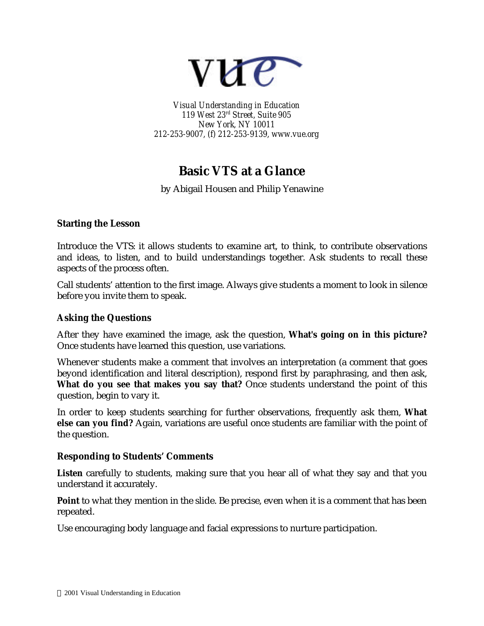

*Visual Understanding in Education 119 West 23rd Street, Suite 905 New York, NY 10011 212-253-9007, (f) 212-253-9139, www.vue.org*

# **Basic VTS at a Glance**

by Abigail Housen and Philip Yenawine

## **Starting the Lesson**

Introduce the VTS: it allows students to examine art, to think, to contribute observations and ideas, to listen, and to build understandings together. Ask students to recall these aspects of the process often.

Call students' attention to the first image. Always give students a moment to look in silence before you invite them to speak.

### **Asking the Questions**

After they have examined the image, ask the question, **What's going on in this picture?** Once students have learned this question, use variations.

Whenever students make a comment that involves an interpretation (a comment that goes beyond identification and literal description), respond first by paraphrasing, and then ask, **What do you see that makes you say that?** Once students understand the point of this question, begin to vary it.

In order to keep students searching for further observations, frequently ask them, **What else can you find?** Again, variations are useful once students are familiar with the point of the question.

### **Responding to Students' Comments**

**Listen** carefully to students, making sure that you hear all of what they say and that you understand it accurately.

**Point** to what they mention in the slide. Be precise, even when it is a comment that has been repeated.

Use encouraging body language and facial expressions to nurture participation.